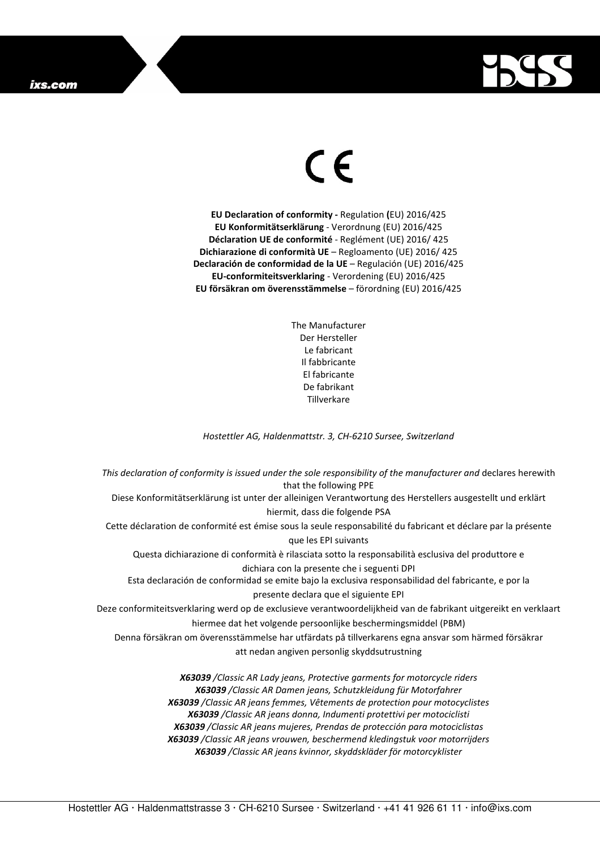## ixs.com



## $\epsilon$

**EU Declaration of conformity -** Regulation **(**EU) 2016/425 **EU Konformitätserklärung** - Verordnung (EU) 2016/425 **Déclaration UE de conformité** - Reglément (UE) 2016/ 425 **Dichiarazione di conformità UE** – Regloamento (UE) 2016/ 425 **Declaración de conformidad de la UE** – Regulación (UE) 2016/425 **EU-conformiteitsverklaring** - Verordening (EU) 2016/425 **EU försäkran om överensstämmelse** – förordning (EU) 2016/425

> The Manufacturer Der Hersteller Le fabricant Il fabbricante El fabricante De fabrikant **Tillverkare**

*Hostettler AG, Haldenmattstr. 3, CH-6210 Sursee, Switzerland* 

*This declaration of conformity is issued under the sole responsibility of the manufacturer and* declares herewith that the following PPE Diese Konformitätserklärung ist unter der alleinigen Verantwortung des Herstellers ausgestellt und erklärt hiermit, dass die folgende PSA Cette déclaration de conformité est émise sous la seule responsabilité du fabricant et déclare par la présente que les EPI suivants Questa dichiarazione di conformità è rilasciata sotto la responsabilità esclusiva del produttore e dichiara con la presente che i seguenti DPI Esta declaración de conformidad se emite bajo la exclusiva responsabilidad del fabricante, e por la presente declara que el siguiente EPI Deze conformiteitsverklaring werd op de exclusieve verantwoordelijkheid van de fabrikant uitgereikt en verklaart hiermee dat het volgende persoonlijke beschermingsmiddel (PBM) Denna försäkran om överensstämmelse har utfärdats på tillverkarens egna ansvar som härmed försäkrar att nedan angiven personlig skyddsutrustning *X63039 /Classic AR Lady jeans, Protective garments for motorcycle riders X63039 /Classic AR Damen jeans, Schutzkleidung für Motorfahrer X63039 /Classic AR jeans femmes, Vêtements de protection pour motocyclistes X63039 /Classic AR jeans donna, Indumenti protettivi per motociclisti* 

*X63039 /Classic AR jeans mujeres, Prendas de protección para motociclistas* 

*X63039 /Classic AR jeans vrouwen, beschermend kledingstuk voor motorrijders* 

*X63039 /Classic AR jeans kvinnor, skyddskläder för motorcyklister*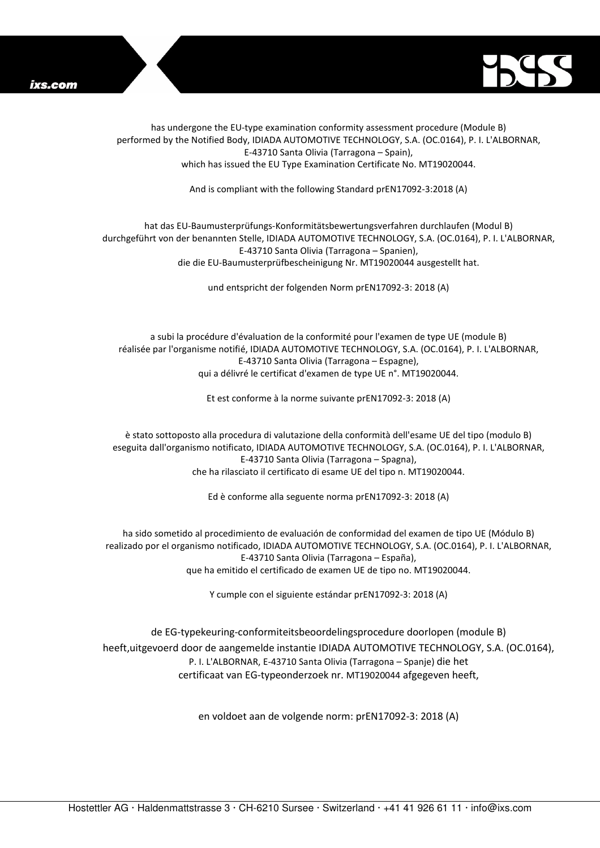



has undergone the EU-type examination conformity assessment procedure (Module B) performed by the Notified Body, IDIADA AUTOMOTIVE TECHNOLOGY, S.A. (OC.0164), P. I. L'ALBORNAR, E-43710 Santa Olivia (Tarragona – Spain), which has issued the EU Type Examination Certificate No. MT19020044.

And is compliant with the following Standard prEN17092-3:2018 (A)

## hat das EU-Baumusterprüfungs-Konformitätsbewertungsverfahren durchlaufen (Modul B) durchgeführt von der benannten Stelle, IDIADA AUTOMOTIVE TECHNOLOGY, S.A. (OC.0164), P. I. L'ALBORNAR, E-43710 Santa Olivia (Tarragona – Spanien), die die EU-Baumusterprüfbescheinigung Nr. MT19020044 ausgestellt hat.

und entspricht der folgenden Norm prEN17092-3: 2018 (A)

a subi la procédure d'évaluation de la conformité pour l'examen de type UE (module B) réalisée par l'organisme notifié, IDIADA AUTOMOTIVE TECHNOLOGY, S.A. (OC.0164), P. I. L'ALBORNAR, E-43710 Santa Olivia (Tarragona – Espagne), qui a délivré le certificat d'examen de type UE n°. MT19020044.

Et est conforme à la norme suivante prEN17092-3: 2018 (A)

è stato sottoposto alla procedura di valutazione della conformità dell'esame UE del tipo (modulo B) eseguita dall'organismo notificato, IDIADA AUTOMOTIVE TECHNOLOGY, S.A. (OC.0164), P. I. L'ALBORNAR, E-43710 Santa Olivia (Tarragona – Spagna), che ha rilasciato il certificato di esame UE del tipo n. MT19020044.

Ed è conforme alla seguente norma prEN17092-3: 2018 (A)

ha sido sometido al procedimiento de evaluación de conformidad del examen de tipo UE (Módulo B) realizado por el organismo notificado, IDIADA AUTOMOTIVE TECHNOLOGY, S.A. (OC.0164), P. I. L'ALBORNAR, E-43710 Santa Olivia (Tarragona – España), que ha emitido el certificado de examen UE de tipo no. MT19020044.

Y cumple con el siguiente estándar prEN17092-3: 2018 (A)

de EG-typekeuring-conformiteitsbeoordelingsprocedure doorlopen (module B) heeft,uitgevoerd door de aangemelde instantie IDIADA AUTOMOTIVE TECHNOLOGY, S.A. (OC.0164), P. I. L'ALBORNAR, E-43710 Santa Olivia (Tarragona – Spanje) die het certificaat van EG-typeonderzoek nr. MT19020044 afgegeven heeft,

en voldoet aan de volgende norm: prEN17092-3: 2018 (A)